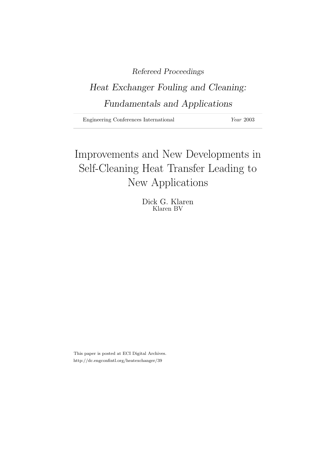### Refereed Proceedings

## Heat Exchanger Fouling and Cleaning: Fundamentals and Applications

Engineering Conferences International Year 2003

# Improvements and New Developments in Self-Cleaning Heat Transfer Leading to New Applications

Dick G. Klaren Klaren BV

This paper is posted at ECI Digital Archives. http://dc.engconfintl.org/heatexchanger/39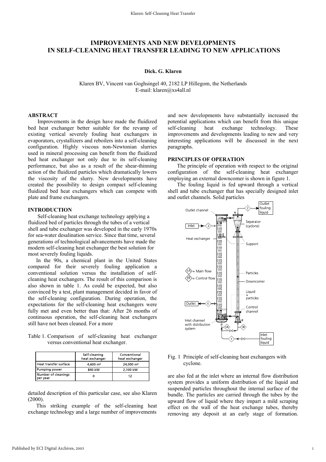### **IMPROVEMENTS AND NEW DEVELOPMENTS IN SELF-CLEANING HEAT TRANSFER LEADING TO NEW APPLICATIONS**

#### **Dick. G. Klaren**

Klaren BV, Vincent van Goghsingel 40, 2182 LP Hillegom, the Netherlands E-mail: klaren@xs4all.nl

#### **ABSTRACT**

 Improvements in the design have made the fluidized bed heat exchanger better suitable for the revamp of existing vertical severely fouling heat exchangers in evaporators, crystallizers and reboilers into a self-cleaning configuration. Highly viscous non-Newtonian slurries used in mineral processing can benefit from the fluidized bed heat exchanger not only due to its self-cleaning performance, but also as a result of the shear-thinning action of the fluidized particles which dramatically lowers the viscosity of the slurry. New developments have created the possibility to design compact self-cleaning fluidized bed heat exchangers which can compete with plate and frame exchangers.

#### **INTRODUCTION**

 Self-cleaning heat exchange technology applying a fluidized bed of particles through the tubes of a vertical shell and tube exchanger was developed in the early 1970s for sea-water desalination service. Since that time, several generations of technological advancements have made the modern self-cleaning heat exchanger the best solution for most severely fouling liquids.

 In the 90s, a chemical plant in the United States compared for their severely fouling application a conventional solution versus the installation of selfcleaning heat exchangers. The result of this comparison is also shown in table 1. As could be expected, but also convinced by a test, plant management decided in favor of the self-cleaning configuration. During operation, the expectations for the self-cleaning heat exchangers were fully met and even better than that: After 26 months of continuous operation, the self-cleaning heat exchangers still have not been cleaned. For a more

Table 1. Comparison of self-cleaning heat exchanger versus conventional heat exchanger.

|                                 | Self cleaning<br>heat exchanger | Conventional<br>heat exchanger |
|---------------------------------|---------------------------------|--------------------------------|
| l Heat transfer surface         | $4.600 \; \mathrm{m}^2$         | 24,000 m <sup>2</sup>          |
| Pumping power                   | 840 kW                          | 2.100 kW                       |
| Number of cleanings<br>per year |                                 | 12                             |

detailed description of this particular case, see also Klaren (2000).

 This striking example of the self-cleaning heat exchange technology and a large number of improvements

and new developments have substantially increased the potential applications which can benefit from this unique self-cleaning heat exchange technology. These improvements and developments leading to new and very interesting applications will be discussed in the next paragraphs.

#### **PRINCIPLES OF OPERATION**

The principle of operation with respect to the original configuration of the self-cleaning heat exchanger employing an external downcomer is shown in figure 1.

The fouling liquid is fed upward through a vertical shell and tube exchanger that has specially designed inlet and outlet channels. Solid particles



Fig. 1 Principle of self-cleaning heat exchangers with cyclone.

are also fed at the inlet where an internal flow distribution system provides a uniform distribution of the liquid and suspended particles throughout the internal surface of the bundle. The particles are carried through the tubes by the upward flow of liquid where they impart a mild scraping effect on the wall of the heat exchange tubes, thereby removing any deposit at an early stage of formation.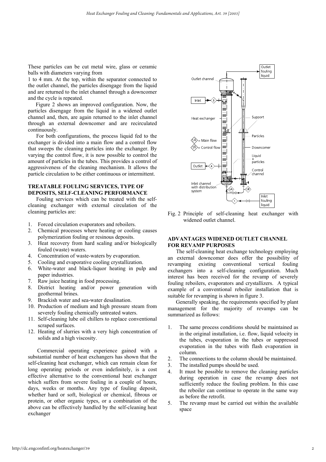These particles can be cut metal wire, glass or ceramic balls with diameters varying from

1 to 4 mm. At the top, within the separator connected to the outlet channel, the particles disengage from the liquid and are returned to the inlet channel through a downcomer and the cycle is repeated.

Figure 2 shows an improved configuration. Now, the particles disengage from the liquid in a widened outlet channel and, then, are again returned to the inlet channel through an external downcomer and are recirculated continuously.

 For both configurations, the process liquid fed to the exchanger is divided into a main flow and a control flow that sweeps the cleaning particles into the exchanger. By varying the control flow, it is now possible to control the amount of particles in the tubes. This provides a control of aggressiveness of the cleaning mechanism. It allows the particle circulation to be either continuous or intermittent.

#### **TREATABLE FOULING SERVICES, TYPE OF DEPOSITS, SELF-CLEANING PERFORMANCE**

 Fouling services which can be treated with the selfcleaning exchanger with external circulation of the cleaning particles are:

- 1. Forced circulation evaporators and reboilers.
- 2. Chemical processes where heating or cooling causes polymerization fouling or resinous deposits.
- 3. Heat recovery from hard scaling and/or biologically fouled (waste) waters.
- 4. Concentration of waste-waters by evaporation.
- 5. Cooling and evaporative cooling crystallization.
- 6. White-water and black-liquor heating in pulp and paper industries.
- 7. Raw juice heating in food processing.
- 8. District heating and/or power generation with geothermal brines.
- 9. Brackish water and sea-water desalination.
- 10. Production of medium and high pressure steam from severely fouling chemically untreated waters.
- 11. Self-cleaning lube oil chillers to replace conventional scraped surfaces.
- 12. Heating of slurries with a very high concentration of solids and a high viscosity.

Commercial operating experience gained with a substantial number of heat exchangers has shown that the self-cleaning heat exchanger, which can remain clean for long operating periods or even indefinitely, is a cost effective alternative to the conventional heat exchanger which suffers from severe fouling in a couple of hours, days, weeks or months. Any type of fouling deposit, whether hard or soft, biological or chemical, fibrous or protein, or other organic types, or a combination of the above can be effectively handled by the self-cleaning heat exchanger



Fig. 2 Principle of self-cleaning heat exchanger with widened outlet channel.

#### **ADVANTAGES WIDENED OUTLET CHANNEL FOR REVAMP PURPOSES**

 The self-cleaning heat exchange technology employing an external downcomer does offer the possibility of revamping existing conventional vertical fouling exchangers into a self-cleaning configuration. Much interest has been received for the revamp of severely fouling reboilers, evaporators and crystallizers. A typical example of a conventional reboiler installation that is suitable for revamping is shown in figure 3.

 Generally speaking, the requirements specified by plant management for the majority of revamps can be summarized as follows:

- 1. The same process conditions should be maintained as in the original installation, i.e. flow, liquid velocity in the tubes, evaporation in the tubes or suppressed evaporation in the tubes with flash evaporation in column.
- 2. The connections to the column should be maintained.
- 3. The installed pumps should be used.
- 4. It must be possible to remove the cleaning particles during operation in case the revamp does not sufficiently reduce the fouling problem. In this case the reboiler can continue to operate in the same way as before the retrofit.
- 5. The revamp must be carried out within the available space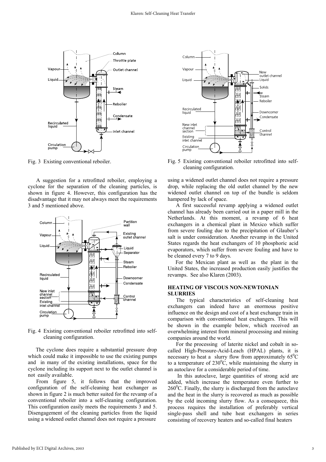

Fig. 3 Existing conventional reboiler.

 A suggestion for a retrofitted reboiler, employing a cyclone for the separation of the cleaning particles, is shown in figure 4. However, this configuration has the disadvantage that it may not always meet the requirements 3 and 5 mentioned above.



Fig. 4 Existing conventional reboiler retrofitted into selfcleaning configuration.

The cyclone does require a substantial pressure drop which could make it impossible to use the existing pumps and in many of the existing installations, space for the cyclone including its support next to the outlet channel is not easily available.

 From figure 5, it follows that the improved configuration of the self-cleaning heat exchanger as shown in figure 2 is much better suited for the revamp of a conventional reboiler into a self-cleaning configuration. This configuration easily meets the requirements 3 and 5. Disengagement of the cleaning particles from the liquid using a widened outlet channel does not require a pressure



Fig. 5 Existing conventional reboiler retrofitted into selfcleaning configuration.

using a widened outlet channel does not require a pressure drop, while replacing the old outlet channel by the new widened outlet channel on top of the bundle is seldom hampered by lack of space.

 A first successful revamp applying a widened outlet channel has already been carried out in a paper mill in the Netherlands. At this moment, a revamp of 6 heat exchangers in a chemical plant in Mexico which suffer from severe fouling due to the precipitation of Glauber's salt is under consideration. Another revamp in the United States regards the heat exchangers of 10 phosphoric acid evaporators, which suffer from severe fouling and have to be cleaned every 7 to 9 days.

For the Mexican plant as well as the plant in the United States, the increased production easily justifies the revamps. See also Klaren (2003).

#### **HEATING OF VISCOUS NON-NEWTONIAN SLURRIES**

 The typical characteristics of self-cleaning heat exchangers can indeed have an enormous positive influence on the design and cost of a heat exchange train in comparison with conventional heat exchangers. This will be shown in the example below, which received an overwhelming interest from mineral processing and mining companies around the world.

 For the processing of laterite nickel and cobalt in socalled High-Pressure-Acid-Leach (HPAL) plants, it is necessary to heat a slurry flow from approximately  $65^{\circ}$ C to a temperature of  $230^{\circ}$ C, while maintaining the slurry in an autoclave for a considerable period of time.

 In this autoclave, large quantities of strong acid are added, which increase the temperature even further to  $260^{\circ}$ C. Finally, the slurry is discharged from the autoclave and the heat in the slurry is recovered as much as possible by the cold incoming slurry flow. As a consequece, this process requires the installation of preferably vertical single-pass shell and tube heat exchangers in series consisting of recovery heaters and so-called final heaters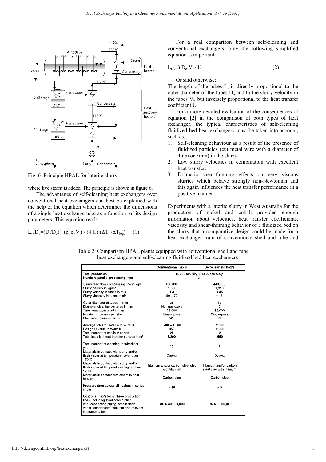

Fig. 6 Principle HPAL for laterite slurry

where live steam is added. The principle is shown in figure 6.

 The advantages of self-cleaning heat exchangers over conventional heat exchangers can best be explained with the help of the equation which determines the dimensions of a single heat exchange tube as a function of its design parameters. This equation reads:

$$
L_t/D_o = (D_i/D_o)^2. \left(\rho_l.c_l.V_l\right) / \left(4.U\right) . (\Delta T_l/\Delta T_{log}) \qquad (1)
$$

 For a real comparison between self-cleaning and conventional exchangers, only the following simplified equation is important:

$$
L_t(:) D_o.V_1/U \tag{2}
$$

Or said otherwise:

The length of the tubes  $L_t$  is directly proportional to the outer diameter of the tubes  $D_0$  and to the slurry velocity in the tubes  $V<sub>1</sub>$ , but inversely proportional to the heat transfer coefficient U.

 For a more detailed evaluation of the consequences of equation [2] in the comparison of both types of heat exchanger, the typical characteristics of self-cleaning fluidized bed heat exchangers must be taken into account, such as:

- 1. Self-cleaning behaviour as a result of the presence of fluidized particles (cut metal wire with a diameter of 4mm or 5mm) in the slurry.
- 2. Low slurry velocities in combination with excellent heat transfer.
- 3. Dramatic shear-thinning effects on very viscous slurries which behave strongly non-Newtonian and this again influences the heat transfer performance in a positive manner

Experiments with a laterite slurry in West Australia for the production of nickel and cobalt provided enough information about velocities, heat transfer coefficients, viscosity and shear-thinning behavior of a fluidized bed on the slurry that a comparative design could be made for a heat exchanger train of conventional shell and tube and

|                                                                                                                                                                                         | <b>Conventional hex's</b>                            | Self-cleaning hex's                                |
|-----------------------------------------------------------------------------------------------------------------------------------------------------------------------------------------|------------------------------------------------------|----------------------------------------------------|
| Total production<br>Numbers parallel processing lines                                                                                                                                   | 45,000 ton Ni/y + 4,500 ton Co/y<br>з                |                                                    |
| Slurry feed flow / processing line in kg/h<br>Slurry density in kg/m <sup>3</sup><br>Slurry velocity in tubes in m/s<br>Slurry viscosity in tubes in cP                                 | 450,000<br>1,320<br>14<br>50 ÷ 70                    | 440,000<br>1,350<br>0.35<br>$\sim 15$              |
| Outer diameter of tubes in mm<br>Diameter cleaning particles in mm<br>Tube lenght per shell in mm<br>Number of passes per shell<br>Shell inner diameter in mm                           | 38<br>Not applicable<br>12,000<br>Single pass<br>520 | 60<br>5<br>12.000<br>Single pass<br>960            |
| Average "clean" U-value in W/m <sup>2</sup> K<br>Design U value in W/m <sup>2</sup> K<br>Total number of shells in series<br>Total installed heat transfer surface in m <sup>2</sup>    | $700 \div 1,000$<br>350<br>28<br>3,200               | 2,000<br>2,000<br>2<br>550                         |
| Total number of cleaning required per<br>year                                                                                                                                           | 12                                                   | 1                                                  |
| Materials in contact with slurry and/or<br>flash vapor at temperature lower than<br>170°C                                                                                               | Duplex                                               | Duplex                                             |
| Materials in contact with slurry and/or<br>flash vapor at temperatures higher than<br>$170^{\circ}$ C                                                                                   | Titanium and/or carbon steel clad<br>with titanium   | Titanium and/or carbon<br>steel clad with titanium |
| Materials in contact with steam in final<br>heater                                                                                                                                      | Carbon steel                                         | Carbon steel                                       |
| Pressure drop across all heaters in series<br>in bar                                                                                                                                    | $~\sim$ 10                                           | $~\sim$ 3                                          |
| Cost of all hex's for all three production<br>lines, including steel construction,<br>inter connecting piping, steam-flash<br>vapor-condensate manifold and relevant<br>instrumentation | $\sim$ US \$ 30,000,000.                             | $\sim$ US \$ 9,000,000.                            |

Table 2. Comparison HPAL plants equipped with conventional shell and tube heat exchangers and self-cleaning fluidized bed heat exchangers